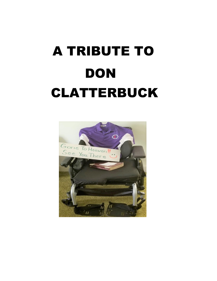# A TRIBUTE TO **DON** CLATTERBUCK

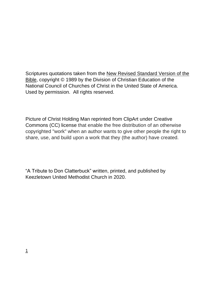Scriptures quotations taken from the New Revised Standard Version of the Bible, copyright © 1989 by the Division of Christian Education of the National Council of Churches of Christ in the United State of America. Used by permission. All rights reserved.

Picture of Christ Holding Man reprinted from ClipArt under Creative Commons (CC) license that enable the free distribution of an otherwise copyrighted "work" when an author wants to give other people the right to share, use, and build upon a work that they (the author) have created.

"A Tribute to Don Clatterbuck" written, printed, and published by Keezletown United Methodist Church in 2020.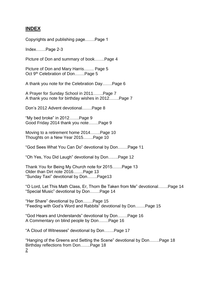#### **INDEX**

Copyrights and publishing page…….Page 1

Index…….Page 2-3

Picture of Don and summary of book…….Page 4

Picture of Don and Mary Harris……. Page 5 Oct 9<sup>th</sup> Celebration of Don......Page 5

A thank you note for the Celebration Day…….Page 6

A Prayer for Sunday School in 2011…….Page 7 A thank you note for birthday wishes in 2012…….Page 7

Don's 2012 Advent devotional…….Page 8

"My bed broke" in 2012…….Page 9 Good Friday 2014 thank you note…….Page 9

Moving to a retirement home 2014…….Page 10 Thoughts on a New Year 2015…….Page 10

"God Sees What You Can Do" devotional by Don…….Page 11

"Oh Yes, You Did Laugh" devotional by Don…….Page 12

Thank You for Being My Church note for 2015…….Page 13 Older than Dirt note 2016…….Page 13 "Sunday Taxi" devotional by Don…….Page13

"O Lord, Let This Math Class, Er, Thorn Be Taken from Me" devotional…….Page 14 "Special Music" devotional by Don…….Page 14

"Her Share" devotional by Don…….Page 15 "Feeding with God's Word and Rabbits" devotional by Don…….Page 15

"God Hears and Understands" devotional by Don…….Page 16 A Commentary on blind people by Don…….Page 16

"A Cloud of Witnesses" devotional by Don…….Page 17

"Hanging of the Greens and Setting the Scene" devotional by Don…….Page 18 Birthday reflections from Don…….Page 18 2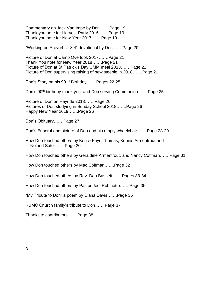Commentary on Jack Van Impe by Don…….Page 19 Thank you note for Harvest Party 2016…….Page 19 Thank you note for New Year 2017…….Page 19

"Working on Proverbs 13:4" devotional by Don…….Page 20

Picture of Don at Camp Overlook 2017…….Page 21 Thank You note for New Year 2018…….Page 21 Picture of Don at St Patrick's Day UMM meal 2018…….Page 21 Picture of Don supervising raising of new steeple in 2018…….Page 21

Don's Story on his 90TH Birthday…….Pages 22-25

Don's 90<sup>th</sup> birthday thank you, and Don serving Communion......Page 25

Picture of Don on Hayride 2018…….Page 26 Pictures of Don studying in Sunday School 2018…….Page 26 Happy New Year 2019…….Page 26

Don's Obituary…….Page 27

Don's Funeral and picture of Don and his empty wheelchair…….Page 28-29

How Don touched others by Ken & Faye Thomas, Kennis Armentrout and Noland Suter…….Page 30

How Don touched others by Geraldine Armentrout, and Nancy Coffman…….Page 31

How Don touched others by Mac Coffman…….Page 32

How Don touched others by Rev. Dan Bassett…….Pages 33-34

How Don touched others by Pastor Joel Robinette…….Page 35

"My Tribute to Don" a poem by Diana Davis…….Page 36

KUMC Church family's tribute to Don…….Page 37

Thanks to contributors…….Page 38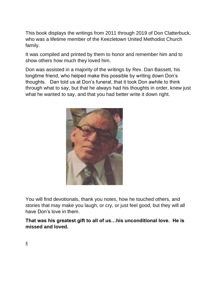This book displays the writings from 2011 through 2019 of Don Clatterbuck, who was a lifetime member of the Keezletown United Methodist Church family.

It was compiled and printed by them to honor and remember him and to show others how much they loved him.

Don was assisted in a majority of the writings by Rev. Dan Bassett, his longtime friend, who helped make this possible by writing down Don's thoughts. Dan told us at Don's funeral, that it took Don awhile to think through what to say, but that he always had his thoughts in order, knew just what he wanted to say, and that you had better write it down right.



You will find devotionals, thank you notes, how he touched others, and stories that may make you laugh, or cry, or just feel good, but they will all have Don's love in them.

**That was his greatest gift to all of us…his unconditional love. He is missed and loved.**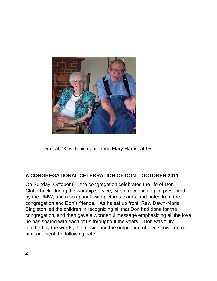

Don, at 78, with his dear friend Mary Harris, at 95.

## **A CONGREGATIONAL CELEBRATION OF DON – OCTOBER 2011**

On Sunday, October 9<sup>th</sup>, the congregation celebrated the life of Don Clatterbuck, during the worship service, with a recognition pin, presented by the UMW, and a scrapbook with pictures, cards, and notes from the congregation and Don's friends. As he sat up front, Rev. Dawn-Marie Singleton led the children in recognizing all that Don had done for the congregation, and then gave a wonderful message emphasizing all the love he has shared with each of us throughout the years. Don was truly touched by the words, the music, and the outpouring of love showered on him, and sent the following note: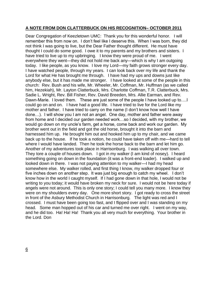#### **A NOTE FROM DON CLATTERBUCK ON HIS RECOGNITION– OCTOBER 2011**

Dear Congregation of Keezletown UMC: Thank you for this wonderful honor. I will remember this from now on. I don't feel like I deserve this. When I was born, they did not think I was going to live, but the Dear Father thought different. He must have thought I could do some good. I owe it to my parents and my brothers and sisters. I have tried to live up to my upbringing. I know they were proud of me. I went everywhere they went—they did not hold me back any—which is why I am outgoing today. I like people, as you know. I love my Lord—my faith grows stronger every day. I have watched people, through my years. I can look back over my life and thank the Lord for what He has brought me through. I have had my ups and downs just like anybody else, but it has made me stronger. I have looked at some of the people in this church: Rev. Bush and his wife, Mr. Wheeler, Mr. Coffman, Mr. Huffman (as we called him, Hezekiah), Mr. Layton Clatterbuck, Mrs. Charlotte Coffman, T.R. Clatterbuck, Mrs. Sadie L. Wright, Rev. Bill Fisher, Rev. David Breeden, Mrs. Allie Earman, and Rev. Dawn-Marie. I loved them. These are just some of the people I have looked up to….I could go on and on. I have had a good life. I have tried to live for the Lord like my mother and father. I have tried to carry on the name (I don't know how well I have done…). I will show you I am not an angel. One day, mother and father were away from home and I decided our garden needed work…so I decided, with my brother, we would go down on my uncle's farm, get a horse, come back and work our garden. My brother went out in the field and got the old horse, brought it into the barn and harnessed him up. He brought him out and hooked him up to my chair, and we came back up to the house. If he took a notion, he could have taken off with me—hard to tell where I would have landed. Then he took the horse back to the barn and let him go. Another of my adventures took place in Harrisonburg. I was walking all over town. They tore a couple of houses down. I got in my walker (I am kind of nosey). I heard something going on down in the foundation (it was a front-end loader). I walked up and looked down in there. I was not paying attention to my walker—I had my head somewhere else. My walker rolled, and first thing I know, my walker dropped four or five inches down on another step. It was just big enough to catch my wheel. I don't know how in the world I caught myself. If I had gone down in that hole, I would not be writing to you today; it would have broken my neck for sure. I would not be here today if angels were not around. This is only one story; I could tell you many more. I know they were on my shoulders every day. One more short story. I got ready to cross the street in front of the Asbury Methodist Church in Harrisonburg. The light was red and I crossed. I must have been going too fast, and I flipped over and I was standing on my head. Some man hopped out of his car and turned me over right. I went on my way, and he did too. Ha! Ha! Ha! Thank you all very much for everything. Your brother in the Lord. Don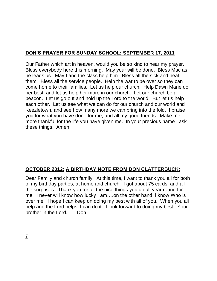## **DON'S PRAYER FOR SUNDAY SCHOOL: SEPTEMBER 17, 2011**

Our Father which art in heaven, would you be so kind to hear my prayer. Bless everybody here this morning. May your will be done. Bless Mac as he leads us. May I and the class help him. Bless all the sick and heal them. Bless all the service people. Help the war to be over so they can come home to their families. Let us help our church. Help Dawn Marie do her best, and let us help her more in our church. Let our church be a beacon. Let us go out and hold up the Lord to the world. But let us help each other. Let us see what we can do for our church and our world and Keezletown, and see how many more we can bring into the fold. I praise you for what you have done for me, and all my good friends. Make me more thankful for the life you have given me. In your precious name I ask these things. Amen

## **OCTOBER 2012: A BIRTHDAY NOTE FROM DON CLATTERBUCK:**

Dear Family and church family: At this time, I want to thank you all for both of my birthday parties, at home and church. I got about 75 cards, and all the surprises. Thank you for all the nice things you do all year round for me. I never will know how lucky I am….on the other hand, I know Who is over me! I hope I can keep on doing my best with all of you. When you all help and the Lord helps, I can do it. I look forward to doing my best. Your brother in the Lord. Don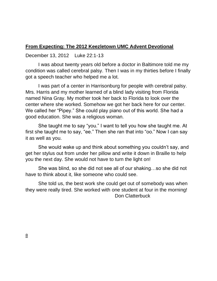#### **From Expecting: The 2012 Keezletown UMC Advent Devotional**

December 13, 2012 Luke 22:1-13

I was about twenty years old before a doctor in Baltimore told me my condition was called cerebral palsy. Then I was in my thirties before I finally got a speech teacher who helped me a lot.

I was part of a center in Harrisonburg for people with cerebral palsy. Mrs. Harris and my mother learned of a blind lady visiting from Florida named Nina Gray. My mother took her back to Florida to look over the center where she worked. Somehow we got her back here for our center. We called her "Pipey." She could play piano out of this world. She had a good education. She was a religious woman.

She taught me to say "you." I want to tell you how she taught me. At first she taught me to say, "ee." Then she ran that into "oo." Now I can say it as well as you.

She would wake up and think about something you couldn't say, and get her stylus out from under her pillow and write it down in Braille to help you the next day. She would not have to turn the light on!

She was blind, so she did not see all of our shaking…so she did not have to think about it, like someone who could see.

She told us, the best work she could get out of somebody was when they were really tired. She worked with one student at four in the morning! Don Clatterbuck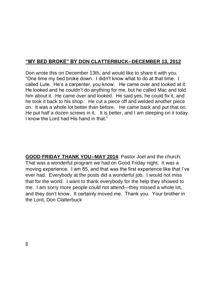## **"MY BED BROKE" BY DON CLATTERBUCK--DECEMBER 13, 2012**

Don wrote this on December 13th, and would like to share it with you. "One time my bed broke down. I didn't know what to do at that time. I called Lute. He's a carpenter, you know. He came over and looked at it. He looked and he couldn't do anything for me, but he called Mac and told him about it. He came over and looked. He said yes, he could fix it, and he took it back to his shop. He cut a piece off and welded another piece on. It was a whole lot better than before. He came back and put that on. He put half a dozen screws in it. It is better, and I am sleeping on it today. I know the Lord had His hand in that."

**GOOD FRIDAY THANK YOU--MAY 2014**: Pastor Joel and the church: That was a wonderful program we had on Good Friday night. It was a moving experience. I am 85, and that was the first experience like that I've ever had. Everybody at the posts did a wonderful job. I would not miss that for the world. I want to thank everybody for the help they showed to me. I am sorry more people could not attend—they missed a whole lot, and they don't know. It certainly moved me. Thank you. Your brother in the Lord, Don Clatterbuck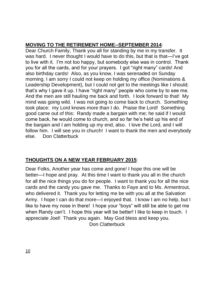## **MOVING TO THE RETIREMENT HOME--SEPTEMBER 2014**:

Dear Church Family, Thank you all for standing by me in my transfer. It was hard. I never thought I would have to do this, but that is that—I've got to live with it. I'm not too happy, but somebody else was in control. Thank you for all the cards, and for your prayers. I got "right many" cards! And also birthday cards! Also, as you know, I was serenaded on Sunday morning. I am sorry I could not keep on holding my office (Nominations & Leadership Development), but I could not get to the meetings like I should; that's why I gave it up. I have "right many" people who come by to see me. And the men are still hauling me back and forth. I look forward to that! My mind was going wild. I was not going to come back to church. Something took place: my Lord knows more than I do. Praise the Lord! Something good came out of this: Randy made a bargain with me; he said if I would come back, he would come to church, and so far he's held up his end of the bargain and I am holding up my end, also. I love the Lord, and I will follow him. I will see you in church! I want to thank the men and everybody else. Don Clatterbuck

## **THOUGHTS ON A NEW YEAR FEBRUARY 2015**:

Dear Folks, Another year has come and gone! I hope this one will be better—I hope and pray. At this time I want to thank you all in the church for all the nice things you do for people. I want to thank you for all the nice cards and the candy you gave me. Thanks to Faye and to Ms. Armentrout, who delivered it. Thank you for letting me be with you all at the Salvation Army. I hope I can do that more—I enjoyed that. I know I am no help, but I like to have my nose in there! I hope your "boys" will still be able to get me when Randy can't. I hope this year will be better! I like to keep in touch. I appreciate Joel! Thank you again. May God bless and keep you. Don Clatterbuck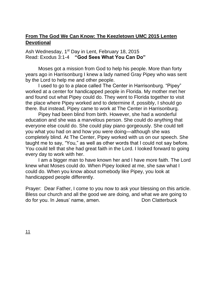### **From The God We Can Know: The Keezletown UMC 2015 Lenten Devotional**

#### Ash Wednesday, 1<sup>st</sup> Day in Lent, February 18, 2015 Read: Exodus 3:1-4 **"God Sees What You Can Do"**

Moses got a mission from God to help his people. More than forty years ago in Harrisonburg I knew a lady named Gray Pipey who was sent by the Lord to help me and other people.

I used to go to a place called The Center in Harrisonburg. "Pipey" worked at a center for handicapped people in Florida. My mother met her and found out what Pipey could do. They went to Florida together to visit the place where Pipey worked and to determine if, possibly, I should go there. But instead, Pipey came to work at The Center in Harrisonburg.

Pipey had been blind from birth. However, she had a wonderful education and she was a marvelous person. She could do anything that everyone else could do. She could play piano gorgeously. She could tell you what you had on and how you were doing—although she was completely blind. At The Center, Pipey worked with us on our speech. She taught me to say, "You," as well as other words that I could not say before. You could tell that she had great faith in the Lord. I looked forward to going every day to work with her.

I am a bigger man to have known her and I have more faith. The Lord knew what Moses could do. When Pipey looked at me, she saw what I could do. When you know about somebody like Pipey, you look at handicapped people differently.

Prayer: Dear Father, I come to you now to ask your blessing on this article. Bless our church and all the good we are doing, and what we are going to do for you. In Jesus' name, amen. The same of the Don Clatterbuck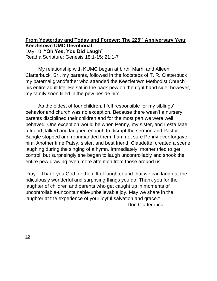**From Yesterday and Today and Forever: The 225th Anniversary Year Keezletown UMC Devotional** Day 10 **"Oh Yes, You Did Laugh"** Read a Scripture: Genesis 18:1-15; 21:1-7

My relationship with KUMC began at birth. Marhl and Alleen Clatterbuck, Sr., my parents, followed in the footsteps of T. R. Clatterbuck my paternal grandfather who attended the Keezletown Methodist Church his entire adult life. He sat in the back pew on the right hand side; however, my family soon filled in the pew beside him.

As the oldest of four children, I felt responsible for my siblings' behavior and church was no exception. Because there wasn't a nursery, parents disciplined their children and for the most part we were well behaved. One exception would be when Penny, my sister, and Lesta Mae, a friend, talked and laughed enough to disrupt the sermon and Pastor Bangle stopped and reprimanded them. I am not sure Penny ever forgave him. Another time Patsy, sister, and best friend, Claudette, created a scene laughing during the singing of a hymn. Immediately, mother tried to get control, but surprisingly she began to laugh uncontrollably and shook the entire pew drawing even more attention from those around us.

Pray: Thank you God for the gift of laughter and that we can laugh at the ridiculously wonderful and surprising things you do. Thank you for the laughter of children and parents who get caught up in moments of uncontrollable-uncontainable-unbelievable joy. May we share in the laughter at the experience of your joyful salvation and grace.<sup>\*</sup> Don Clatterbuck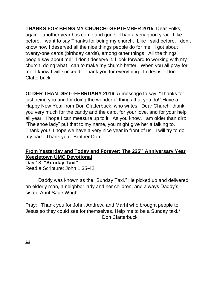**THANKS FOR BEING MY CHURCH--SEPTEMBER 2015**: Dear Folks, again—another year has come and gone. I had a very good year. Like before, I want to say Thanks for being my church. Like I said before, I don't know how I deserved all the nice things people do for me. I got about twenty-one cards (birthday cards), among other things. All the things people say about me! I don't deserve it. I look forward to working with my church, doing what I can to make my church better. When you all pray for me, I know I will succeed. Thank you for everything. In Jesus—Don **Clatterbuck** 

**OLDER THAN DIRT--FEBRUARY 2016**: A message to say, "Thanks for just being you and for doing the wonderful things that you do!" Have a Happy New Year from Don Clatterbuck, who writes: Dear Church, thank you very much for the candy and the card, for your love, and for your help all year. I hope I can measure up to it. As you know, I am older than dirt: "The shoe lady" put that to my name, you might give her a talking to. Thank you! I hope we have a very nice year in front of us. I will try to do my part. Thank you! Brother Don

#### **From Yesterday and Today and Forever: The 225th Anniversary Year Keezletown UMC Devotional**

Day 18 **"Sunday Taxi"** Read a Scripture: John 1:35-42

Daddy was known as the "Sunday Taxi." He picked up and delivered an elderly man, a neighbor lady and her children, and always Daddy's sister, Aunt Sade Wright.

Pray: Thank you for John, Andrew, and Marhl who brought people to Jesus so they could see for themselves. Help me to be a Sunday taxi.\* Don Clatterbuck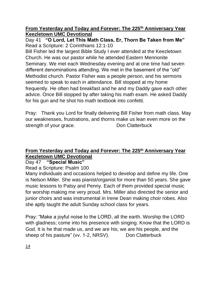Day 41 **"O Lord, Let This Math Class, Er, Thorn Be Taken from Me"** Read a Scripture: 2 Corinthians 12:1-10

Bill Fisher led the largest Bible Study I ever attended at the Keezletown Church. He was our pastor while he attended Eastern Mennonite Seminary. We met each Wednesday evening and at one time had seven different denominations attending. We met in the basement of the "old" Methodist church. Pastor Fisher was a people person, and his sermons seemed to speak to each in attendance. Bill stopped at my home frequently. He often had breakfast and he and my Daddy gave each other advice. Once Bill stopped by after taking his math exam. He asked Daddy for his gun and he shot his math textbook into confetti.

Pray: Thank you Lord for finally delivering Bill Fisher from math class. May our weaknesses, frustrations, and thorns make us lean even more on the strength of your grace. Don Clatterbuck

## **From Yesterday and Today and Forever: The 225th Anniversary Year Keezletown UMC Devotional**

Day 47 **"Special Music"**

Read a Scripture: Psalm 100

Many individuals and occasions helped to develop and define my life. One is Nelson Miller. She was pianist/organist for more than 50 years. She gave music lessons to Patsy and Penny. Each of them provided special music for worship making me very proud. Mrs. Miller also directed the senior and junior choirs and was instrumental in Irene Dean making choir robes. Also she aptly taught the adult Sunday school class for years.

Pray: "Make a joyful noise to the LORD, all the earth. Worship the LORD with gladness; come into his presence with singing. Know that the LORD is God. It is he that made us, and we are his; we are his people, and the sheep of his pasture" (vv. 1-2, NRSV). Don Clatterbuck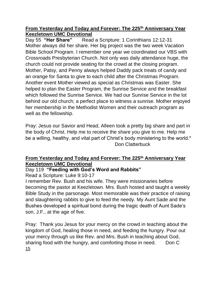Day 55 **"Her Share"** Read a Scripture: 1 Corinthians 12:12-31 Mother always did her share. Her big project was the two week Vacation Bible School Program. I remember one year we coordinated our VBS with Crossroads Presbyterian Church. Not only was daily attendance huge, the church could not provide seating for the crowd at the closing program. Mother, Patsy, and Penny always helped Daddy pack treats of candy and an orange for Santa to give to each child after the Christmas Program. Another event Mother viewed as special as Christmas was Easter. She helped to plan the Easter Program, the Sunrise Service and the breakfast which followed the Sunrise Service. We had our Sunrise Service in the lot behind our old church; a perfect place to witness a sunrise. Mother enjoyed her membership in the Methodist Women and their outreach program as well as the fellowship.

Pray: Jesus our Savior and Head, Alleen took a pretty big share and part in the body of Christ. Help me to receive the share you give to me. Help me be a willing, healthy, and vital part of Christ's body ministering to the world.<sup>\*</sup> Don Clatterbuck

## **From Yesterday and Today and Forever: The 225th Anniversary Year Keezletown UMC Devotional**

## Day 119 **"Feeding with God's Word and Rabbits"**

Read a Scripture: Luke 9:10-17

I remember Rev. Bush and his wife. They were missionaries before becoming the pastor at Keezletown. Mrs. Bush hosted and taught a weekly Bible Study in the parsonage. Most memorable was their practice of raising and slaughtering rabbits to give to feed the needy. My Aunt Sade and the Bushes developed a spiritual bond during the tragic death of Aunt Sade's son, J.F., at the age of five.

Pray: Thank you Jesus for your mercy on the crowd in teaching about the kingdom of God, healing those in need, and feeding the hungry. Pour out your mercy through us like Rev. and Mrs. Bush in teaching about God, sharing food with the hungry, and comforting those in need. Don C 15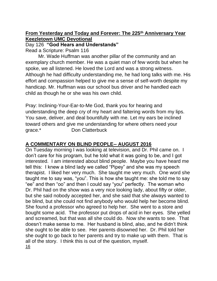Day 126 **"God Hears and Understands"**

Read a Scripture: Psalm 116

Mr. Wade Huffman was another pillar of the community and an exemplary church member. He was a quiet man of few words but when he spoke, we all listened. He loved the Lord and was a strong witness. Although he had difficulty understanding me, he had long talks with me. His effort and compassion helped to give me a sense of self-worth despite my handicap. Mr. Huffman was our school bus driver and he handled each child as though he or she was his own child.

Pray: Inclining-Your-Ear-to-Me God, thank you for hearing and understanding the deep cry of my heart and faltering words from my lips. You save, deliver, and deal bountifully with me. Let my ears be inclined toward others and give me understanding for where others need your grace.\* Don Clatterbuck

## **A COMMENTARY ON BLIND PEOPLE-- AUGUST 2016**

On Tuesday morning I was looking at television, and Dr. Phil came on. I don't care for his program, but he told what it was going to be, and I got interested. I am interested about blind people. Maybe you have heard me tell this: I knew a blind lady we called "Pipey" and she was my speech therapist. I liked her very much. She taught me very much. One word she taught me to say was, "you". This is how she taught me: she told me to say "ee" and then "oo" and then I could say "you" perfectly. The woman who Dr. Phil had on the show was a very nice looking lady, about fifty or older, but she said nobody accepted her, and she said that she always wanted to be blind, but she could not find anybody who would help her become blind. She found a professor who agreed to help her. She went to a store and bought some acid. The professor put drops of acid in her eyes. She yelled and screamed, but that was all she could do. Now she wants to see. That doesn't make sense to me. Her husband is blind, also, and he didn't think she ought to be able to see. Her parents disowned her. Dr. Phil told her she ought to go back to her parents and try to make up with them. That is all of the story. I think this is out of the question, myself. 16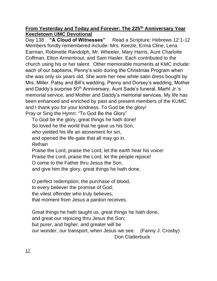Day 138 **"A Cloud of Witnesses"** Read a Scripture: Hebrews 12:1-12 Members fondly remembered include: Mrs. Keezle, Erma Cline, Lena Earman, Robinette Randolph, Mr. Wheeler, Mary Harris, Aunt Charlotte Coffman, Elton Armentrout, and Sam Hasler. Each contributed to the church using his or her talent. Other memorable moments at KMC include: each of our baptisms, Penny's solo during the Christmas Program when she was only six years old. She wore her new white satin dress bought by Mrs. Miller. Patsy and Bill's wedding, Penny and Dorsey's wedding, Mother and Daddy's surprise 50<sup>th</sup> Anniversary, Aunt Sade's funeral, Marhl Jr.'s memorial service, and Mother and Daddy's memorial services. My life has been enhanced and enriched by past and present members of the KUMC and I thank you for your kindness. To God be the glory! Pray or Sing the Hymn: "To God Be the Glory"

To God be the glory, great things he hath done! So loved he the world that he gave us his Son, who yielded his life an atonement for sin, and opened the life-gate that all may go in. *Refrain* Praise the Lord, praise the Lord, let the earth hear his voice! Praise the Lord, praise the Lord, let the people rejoice! O come to the Father thru Jesus the Son, and give him the glory, great things he hath done.

O perfect redemption, the purchase of blood, to every believer the promise of God; the vilest offender who truly believes, that moment from Jesus a pardon receives.

Great things he hath taught us, great things he hath done, and great our rejoicing thru Jesus the Son; but purer, and higher, and greater will be our wonder, our transport, when Jesus we see. (Fanny J. Crosby) Don Clatterbuck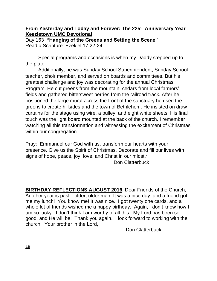#### **From Yesterday and Today and Forever: The 225th Anniversary Year Keezletown UMC Devotional** Day 163 **"Hanging of the Greens and Setting the Scene"** Read a Scripture: Ezekiel 17:22-24

Special programs and occasions is when my Daddy stepped up to the plate.

Additionally, he was Sunday School Superintendent, Sunday School teacher, choir member, and served on boards and committees. But his greatest challenge and joy was decorating for the annual Christmas Program. He cut greens from the mountain, cedars from local farmers' fields and gathered bittersweet berries from the railroad track. After he positioned the large mural across the front of the sanctuary he used the greens to create hillsides and the town of Bethlehem. He insisted on draw curtains for the stage using wire, a pulley, and eight white sheets. His final touch was the light board mounted at the back of the church. I remember watching all this transformation and witnessing the excitement of Christmas within our congregation.

Pray: Emmanuel our God with us, transform our hearts with your presence. Give us the Spirit of Christmas. Decorate and fill our lives with signs of hope, peace, joy, love, and Christ in our midst.\* Don Clatterbuck

**BIRTHDAY REFLECTIONS AUGUST 2016**: Dear Friends of the Church, Another year is past…older, older man! It was a nice day, and a friend got me my lunch! You know me! It was nice. I got twenty one cards, and a whole lot of friends wished me a happy birthday. Again, I don't know how I am so lucky. I don't think I am worthy of all this. My Lord has been so good, and He will be! Thank you again. I look forward to working with the church. Your brother in the Lord,

Don Clatterbuck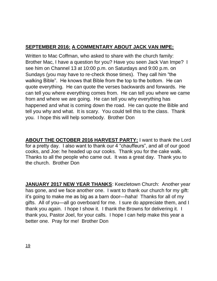## **SEPTEMBER 2016: A COMMENTARY ABOUT JACK VAN IMPE:**

Written to Mac Coffman, who asked to share with the church family: Brother Mac, I have a question for you? Have you seen Jack Van Impe? I see him on Channel 13 at 10:00 p.m. on Saturdays and 9:00 p.m. on Sundays (you may have to re-check those times). They call him "the walking Bible". He knows that Bible from the top to the bottom. He can quote everything. He can quote the verses backwards and forwards. He can tell you where everything comes from. He can tell you where we came from and where we are going. He can tell you why everything has happened and what is coming down the road. He can quote the Bible and tell you why and what. It is scary. You could tell this to the class. Thank you. I hope this will help somebody. Brother Don

**ABOUT THE OCTOBER 2016 HARVEST PARTY:** I want to thank the Lord for a pretty day. I also want to thank our 4 "chauffeurs", and all of our good cooks, and Joe: he headed up our cooks. Thank you for the cake walk. Thanks to all the people who came out. It was a great day. Thank you to the church. Brother Don

**JANUARY 2017 NEW YEAR THANKS**: Keezletown Church: Another year has gone, and we face another one. I want to thank our church for my gift: it's going to make me as big as a barn door—haha! Thanks for all of my gifts. All of you—all go overboard for me. I sure do appreciate them, and I thank you again. I hope I show it. I thank the Browns for delivering it. I thank you, Pastor Joel, for your calls. I hope I can help make this year a better one. Pray for me! Brother Don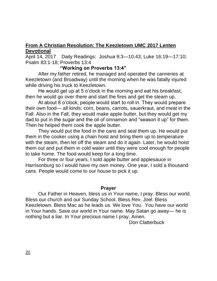#### **From A Christian Resolution: The Keezletown UMC 2017 Lenten Devotional**

April 14, 2017 Daily Readings: Joshua 9:3—10:43; Luke 16:19—17:10; Psalm 83:1-18; Proverbs 13:4

#### **"Working on Proverbs 13:4"**

After my father retired, he managed and operated the canneries at Keezletown (and Broadway) until the morning when he was fatally injured while driving his truck to Keezletown.

He would get up at 5 o'clock in the morning and eat his breakfast; then he would go over there and start the fires and get the steam up.

At about 8 o'clock, people would start to roll in. They would prepare their own food— all kinds: corn, beans, carrots, sauerkraut, and meat in the Fall. Also in the Fall, they would make apple butter, but they would get my dad to put in the sugar and the oil of cinnamon and "season it up" for them. Then he helped them cook the apple butter.

They would put the food in the cans and seal them up. He would put them in the cooker using a chain hoist and bring them up to temperature with the steam, then let off the steam and do it again. Later, he would hoist them out and put them in cold water until they were cool enough for people to take home. The food would keep for a long time.

For three or four years, I sold apple butter and applesauce in Harrisonburg so I would have my own money. One year, I sold a thousand cans. People would come to our house to pick it up.

#### **Prayer**

Our Father in Heaven, bless us in Your name, I pray. Bless our world. Bless our church and our Sunday School. Bless Rev. Joel. Bless Keezletown. Bless Mac as he leads us. We love You. You have our world in Your hands. Save our world in Your name. May Satan go away— he is nothing but a liar. In Your precious name I pray. Amen.

Don Clatterbuck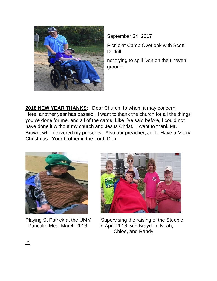

September 24, 2017

Picnic at Camp Overlook with Scott Dodrill,

not trying to spill Don on the uneven ground.

**2018 NEW YEAR THANKS**: Dear Church, to whom it may concern: Here, another year has passed. I want to thank the church for all the things you've done for me, and all of the cards! Like I've said before, I could not have done it without my church and Jesus Christ. I want to thank Mr. Brown, who delivered my presents. Also our preacher, Joel. Have a Merry Christmas. Your brother in the Lord, Don





Playing St Patrick at the UMM Supervising the raising of the Steeple Pancake Meal March 2018 in April 2018 with Brayden, Noah, Chloe, and Randy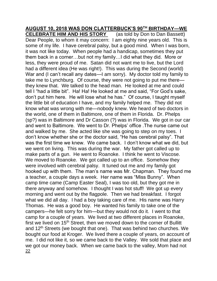### **AUGUST 10, 2018 WAS DON CLATTERBUCK'S 90TH BIRTHDAY—WE**

**CELEBRATE HIM AND HIS STORY** (as told by Don to Dan Bassett) Dear People, to whom it may concern: I am eighty nine years old. This is some of my life. I have cerebral palsy, but a good mind. When I was born, it was not like today. When people had a handicap, sometimes they put them back in a corner…but not my family…I did what they did. More or less, they were proud of me. Satan did not want me to live, but the Lord had a different idea (He was right!). This was during the Second (world) War and (I can't recall any dates—I am sorry). My doctor told my family to take me to Lynchburg. Of course, they were not going to put me there they knew that. We talked to the head man. He looked at me and could tell I "had a little bit". Ha! Ha! He looked at me and said, "For God's sake, don't put him here. He will lose what he has." Of course, I taught myself the little bit of education I have, and my family helped me. They did not know what was wrong with me—nobody knew. We heard of two doctors in the world, one of them in Baltimore, one of them in Florida. Dr. Phelps (sp?) was in Baltimore and Dr Casson (?) was in Florida. We got in our car and went to Baltimore. We went to Dr. Phelps' office .The nurse came out and walked by me. She acted like she was going to step on my toes. I don't know whether she or the doctor said, "He has cerebral palsy". That was the first time we knew. We came back. I don't know what we did, but we went on living. This was during the war. My father got called up to make parts of a gun. He went to Roanoke. I think he went to Viscose. We moved to Roanoke. We got called up to an office. Somehow they were involved with cerebral palsy. It tuned out me and my family got hooked up with them. The man's name was Mr. Chapman. They found me a teacher, a couple days a week. Her name was "Miss Bunny". When camp time came (Camp Easter Seal), I was too old, but they got me in there anyway and somehow. I thought I was hot stuff! We got up every morning and went out by the flagpole. Then we had breakfast. I forgot what we did all day. I had a boy taking care of me. His name was Harry Thomas. He was a good boy. He wanted his family to take one of the campers—he felt sorry for him—but they would not do it. I went to that camp for a couple of years. We lived at two different places in Roanoke, first we lived on 15<sup>th</sup> Street, then we moved down to the corner of Bullitt and 12<sup>th</sup> Streets (we bought that one). That was behind two churches. We bought our food at Kroger. We lived there a couple of years, on account of me. I did not like it, so we came back to the Valley. We sold that place and we got our money back. When we came back to the valley, Mom had not 22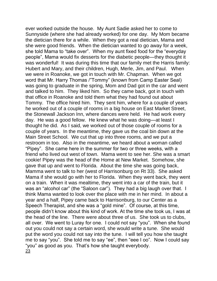ever worked outside the house. My Aunt Sadie asked her to come to Sunnyside (where she had already worked) for one day. My Mom became the dietician there for a while. When they got a real dietician, Mama and she were good friends. When the dietician wanted to go away for a week, she told Mama to "take over". When my aunt fixed food for the "everyday people", Mama would fix desserts for the diabetic people—they thought it was wonderful! It was during this time that our family met the Harris family: Hubert and Mary, and their children, Hugh, Merle, Jim, and Paul. When we were in Roanoke, we got in touch with Mr. Chapman. When we got word that Mr. Harry Thomas /"Tommy" (known from Camp Easter Seal) was going to graduate in the spring, Mom and Dad got in the car and went and talked to him. They liked him. So they came back, got in touch with that office in Roanoke and told them what they had found out about Tommy. The office hired him. They sent him, where for a couple of years he worked out of a couple of rooms in a big house on East Market Street, the Stonewall Jackson Inn, where dances were held. He had work every day. He was a good fellow. He knew what he was doing—at least I thought he did. As I said, we worked out of those couple of rooms for a couple of years. In the meantime, they gave us the coal bin down at the Main Street School. We cut that up into three rooms, and we put a restroom in too. Also in the meantime, we heard about a woman called "Pipey". She came here in the summer for two or three weeks, with a friend who lived out west of town. Mama went to see her. She was a smart cookie! Pipey was the head of the Home at New Market. Somehow, she gave that up and went to Florida. About the time she was going back, Mamma went to talk to her (west of Harrisonburg on Rt 33). She asked Mama if she would go with her to Florida. When they went back, they went on a train. When it was mealtime, they went into a car of the train, but it was an "alcohol car" (the "Saloon car"). They had a big laugh over that. I think Mama wanted to look over the place with me in her mind. In about a year and a half, Pipey came back to Harrisonburg, to our Center as a Speech Therapist, and she was a "gold mine". Of course, at this time, people didn't know about this kind of work. At the time she took us, I was at the head of the line. There were about three of us. She took us to clubs, all over. We went to Luray for one. I could not say "you". When she found out you could not say a certain word, she would write a tune. She would put the word you could not say into the tune. I will tell you how she taught me to say "you". She told me to say "ee", then "eee I oo". Now I could say "you" as good as you. That's how she taught everybody. 23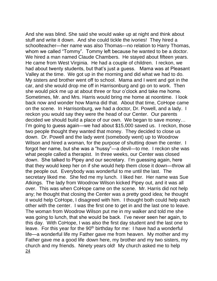And she was blind. She said she would wake up at night and think about stuff and write it down. And she could tickle the ivories! They hired a schoolteacher—her name was also Thomas—no relation to Harry Thomas, whom we called "Tommy". Tommy left because he wanted to be a doctor. We hired a man named Claude Chambers. He stayed about fifteen years. He came from West Virginia. He had a couple of children. I reckon, we had about twenty students, but that's just a guess. Mama was at Pleasant Valley at the time. We got up in the morning and did what we had to do. My sisters and brother went off to school. Mama and I went and got in the car, and she would drop me off in Harrisonburg and go on to work. Then she would pick me up at about three or four o'clock and take me home. Sometimes, Mr. and Mrs. Harris would bring me home at noontime. I look back now and wonder how Mama did that. About that time, CoHope came on the scene. In Harrisonburg, we had a doctor, Dr. Powell, and a lady. I reckon you would say they were the head of our Center. Our parents decided we should build a place of our own. We began to save money… I'm going to guess again—we had about \$15,000 saved us. I reckon, those two people thought they wanted that money. They decided to close us down. Dr. Powell and the lady went (somebody went) up to Woodrow Wilson and hired a woman, for the purpose of shutting down the center. I forgot her name, but she was a "hussy"—a devil—to me. I reckon she was what people called a therapist. In three weeks, our Center was closed down. She talked to Pipey and our secretary. I'm guessing again, here that they would keep her on if she would help them close it down—throw all the people out. Everybody was wonderful to me until the last. The secretary liked me. She fed me my lunch. I liked her. Her name was Sue Atkings. The lady from Woodrow Wilson kicked Pipey out, and it was all over. This was when CoHope came on the scene. Mr. Harris did not help any; he thought that closing the Center was a pretty good idea; he thought it would help CoHope, I disagreed with him. I thought both could help each other with the center. I was the first one to get in and the last one to leave. The woman from Woodrow Wilson put me in my walker and told me she was going to lunch, that she would be back. I've never seen her again, to this day. With CoHope, I was also the first day student and the last one to leave. For this year for the 90<sup>th</sup> birthday for me: I have had a wonderful life—a wonderful life my Father gave me from heaven. My mother and my Father gave me a good life down here, my brother and my two sisters, my church and my friends. Ninety years old! My church asked me to help 24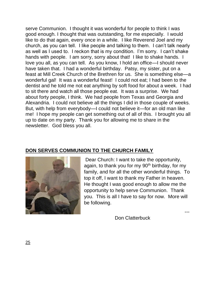serve Communion. I thought it was wonderful for people to think I was good enough. I thought that was outstanding, for me especially. I would like to do that again, every once in a while. I like Reverend Joel and my church, as you can tell. I like people and talking to them. I can't talk nearly as well as I used to. I reckon that is my condition. I'm sorry. I can't shake hands with people. I am sorry, sorry about that! I like to shake hands. I love you all, as you can tell. As you know, I hold an office—I should never have taken that. I had a wonderful birthday. Patsy, my sister, put on a feast at Mill Creek Church of the Brethren for us. She is something else—a wonderful gal! It was a wonderful feast! I could not eat; I had been to the dentist and he told me not eat anything by soft food for about a week. I had to sit there and watch all those people eat. It was a surprise. We had about forty people, I think. We had people from Texas and Georgia and Alexandria. I could not believe all the things I did in those couple of weeks. But, with help from everybody—I could not believe it—for an old man like me! I hope my people can get something out of all of this. I brought you all up to date on my party. Thank you for allowing me to share in the newsletter. God bless you all.

#### **DON SERVES COMMUNION TO THE CHURCH FAMILY**



Dear Church: I want to take the opportunity, again, to thank you for my  $90<sup>th</sup>$  birthday, for my family, and for all the other wonderful things. To top it off, I want to thank my Father in heaven. He thought I was good enough to allow me the opportunity to help serve Communion. Thank you. This is all I have to say for now. More will be following.

Don Clatterbuck

---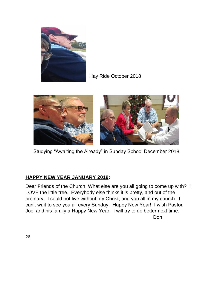

#### Hay Ride October 2018



Studying "Awaiting the Already" in Sunday School December 2018

#### **HAPPY NEW YEAR JANUARY 2019:**

Dear Friends of the Church, What else are you all going to come up with? I LOVE the little tree. Everybody else thinks it is pretty, and out of the ordinary. I could not live without my Christ, and you all in my church. I can't wait to see you all every Sunday. Happy New Year! I wish Pastor Joel and his family a Happy New Year. I will try to do better next time. Don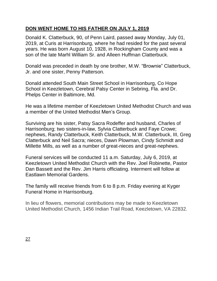## **DON WENT HOME TO HIS FATHER ON JULY 1, 2019**

Donald K. Clatterbuck, 90, of Penn Laird, passed away Monday, July 01, 2019, at Curis at Harrisonburg, where he had resided for the past several years. He was born August 10, 1928, in Rockingham County and was a son of the late Marhl William Sr. and Alleen Huffman Clatterbuck.

Donald was preceded in death by one brother, M.W. "Brownie" Clatterbuck, Jr. and one sister, Penny Patterson.

Donald attended South Main Street School in Harrisonburg, Co Hope School in Keezletown, Cerebral Palsy Center in Sebring, Fla. and Dr. Phelps Center in Baltimore, Md.

He was a lifetime member of Keezletown United Methodist Church and was a member of the United Methodist Men's Group.

Surviving are his sister, Patsy Sacra Rodeffer and husband, Charles of Harrisonburg; two sisters-in-law, Sylvia Clatterbuck and Faye Crowe; nephews, Randy Clatterbuck, Keith Clatterbuck, M.W. Clatterbuck, III, Greg Clatterbuck and Neil Sacra; nieces, Dawn Plowman, Cindy Schmidt and Millette Mills, as well as a number of great-nieces and great-nephews.

Funeral services will be conducted 11 a.m. Saturday, July 6, 2019, at Keezletown United Methodist Church with the Rev. Joel Robinette, Pastor Dan Bassett and the Rev. Jim Harris officiating. Interment will follow at Eastlawn Memorial Gardens.

The family will receive friends from 6 to 8 p.m. Friday evening at Kyger Funeral Home in Harrisonburg.

In lieu of flowers, memorial contributions may be made to Keezletown United Methodist Church, 1456 Indian Trail Road, Keezletown, VA 22832.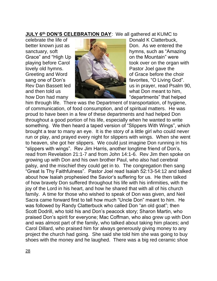**JULY 6 th DON'S CELEBRATION DAY**: We all gathered at KUMC to



better known just as **Don.** Don. As we entered the sanctuary, soft **hymns**, such as "Amazing" playing before Carol **took** over on the organ with Greeting and Word **Communist Contract of Grace before the choir** sang one of Don's **favorites**, "O Living God". Rev Dan Bassett led **With a strong and the use of the use of the use of the use of the use of the use of the use of the use of the use of the use of the use of the use of the use of the use of the use of the use of the use** how Don had many **Alternative Contract and Many 1989** "departments" that helped

him through life. There was the Department of transportation, of hygiene, of communication, of food consumption, and of spiritual matters. He was proud to have been in a few of these departments and had helped Don throughout a good portion of his life, especially when he wanted to write something. We then heard a taped version of "Slippers With Wings", which brought a tear to many an eye. It is the story of a little girl who could never run or play, and prayed every night for slippers with wings. When she went to heaven, she got her slippers. We could just imagine Don running in his "slippers with wings". Rev Jim Harris, another longtime friend of Don's, read from Revelation 21:1-7 and from John 14:1-6. Rev Jim then spoke on growing up with Don and his own brother Paul, who also had cerebral palsy, and the mischief they could get in to. The congregation then sang "Great Is Thy Faithfulness". Pastor Joel read Isaiah 52:13-54:12 and talked about how Isaiah prophesied the Savior's suffering for us. He then talked of how bravely Don suffered throughout his life with his infirmities, with the joy of the Lord in his heart, and how he shared that with all of his church family. A time for those who wished to speak of Don was given, and Neil Sacra came forward first to tell how much "Uncle Don" meant to him. He was followed by Randy Clatterbuck who called Don "an old goat"; then Scott Dodrill, who told his and Don's peacock story; Sharon Martin, who praised Don's spirit for everyone; Mac Coffman, who also grew up with Don and was almost part of the family, who talked about taking him places; and Carol Dillard, who praised him for always generously giving money to any project the church had going. She said she told him she was going to buy shoes with the money and he laughed. There was a big red ceramic shoe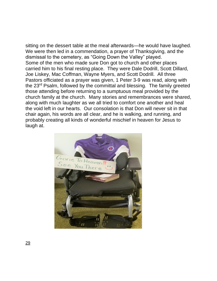sitting on the dessert table at the meal afterwards—he would have laughed. We were then led in a commendation, a prayer of Thanksgiving, and the dismissal to the cemetery, as "Going Down the Valley" played. Some of the men who made sure Don got to church and other places carried him to his final resting place. They were Dale Dodrill, Scott Dillard, Joe Liskey, Mac Coffman, Wayne Myers, and Scott Dodrill. All three Pastors officiated as a prayer was given, 1 Peter 3-9 was read, along with the 23rd Psalm, followed by the committal and blessing. The family greeted those attending before returning to a sumptuous meal provided by the church family at the church. Many stories and remembrances were shared, along with much laughter as we all tried to comfort one another and heal the void left in our hearts. Our consolation is that Don will never sit in that chair again, his words are all clear, and he is walking, and running, and probably creating all kinds of wonderful mischief in heaven for Jesus to laugh at.

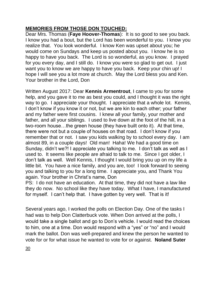## **MEMORIES FROM THOSE DON TOUCHED:**

Dear Mrs. Thomas (**Faye Hoover-Thomas**): It is so good to see you back. I know you had a bout, but the Lord has been wonderful to you. I know you realize that. You look wonderful. I know Ken was upset about you; he would come on Sundays and keep us posted about you. I know he is so happy to have you back. The Lord is so wonderful, as you know. I prayed for you every day, and I still do. I know you were so glad to get out. I just want you to know we are happy to have you back. Keep your chin up! I hope I will see you a lot more at church. May the Lord bless you and Ken. Your brother in the Lord, Don

Written August 2017: Dear **Kennis Armentrout**, I came to you for some help, and you gave it to me as best you could, and I thought it was the right way to go. I appreciate your thought. I appreciate that a whole lot. Kennis, I don't know if you know it or not, but we are kin to each other; your father and my father were first cousins. I knew all your family, your mother and father, and all your siblings. I used to live down at the foot of the hill, in a two-room house…the green house (they have built onto it). At that time, there were not but a couple of houses on that road. I don't know if you remember that or not. I saw you kids walking by to school every day. I am almost 89, in a couple days! Old man! Haha! We had a good time on Sunday, didn't we?! I appreciate you talking to me. I don't talk as well as I used to. It seems like people are afraid to talk to me. Since I got older, I don't talk as well. Well Kennis, I thought I would bring you up on my life a little bit. You have a nice family, and you are, too! I look forward to seeing you and talking to you for a long time. I appreciate you, and Thank You again. Your brother in Christ's name, Don

PS: I do not have an education. At that time, they did not have a law like they do now. No school like they have today. What I have, I manufactured for myself. I can't help that. I have gotten by very well. That is it!

Several years ago, I worked the polls on Election Day. One of the tasks I had was to help Don Clatterbuck vote. When Don arrived at the polls, I would take a single ballot and go to Don's vehicle. I would read the choices to him, one at a time. Don would respond with a "yes" or "no" and I would mark the ballot. Don was well-prepared and knew the person he wanted to vote for or for what issue he wanted to vote for or against. **Noland Suter**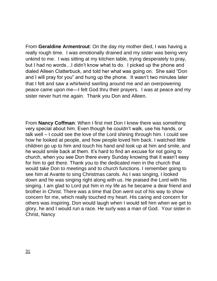From **Geraldine Armentrout**: On the day my mother died, I was having a really rough time. I was emotionally drained and my sister was being very unkind to me. I was sitting at my kitchen table, trying desperately to pray, but I had no words…I didn't know what to do. I picked up the phone and dialed Alleen Clatterbuck, and told her what was going on. She said "Don and I will pray for you" and hung up the phone. It wasn't two minutes later that I felt and saw a whirlwind swirling around me and an overpowering peace came upon me—I felt God thru their prayers. I was at peace and my sister never hurt me again. Thank you Don and Alleen.

From **Nancy Coffman**: When I first met Don I knew there was something very special about him. Even though he couldn't walk, use his hands, or talk well – I could see the love of the Lord shining through him. I could see how he looked at people, and how people loved him back. I watched little children go up to him and touch his hand and look up at him and smile, and he would smile back at them. It's hard to find an excuse for not going to church, when you see Don there every Sunday knowing that it wasn't easy for him to get there. Thank you to the dedicated men in the church that would take Don to meetings and to church functions. I remember going to see him at Avante to sing Christmas carols. As I was singing, I looked down and he was singing right along with us. He praised the Lord with his singing. I am glad to Lord put him in my life as he became a dear friend and brother in Christ. There was a time that Don went out of his way to show concern for me, which really touched my heart. His caring and concern for others was inspiring. Don would laugh when I would tell him when we get to glory, he and I would run a race. He surly was a man of God. Your sister in Christ, Nancy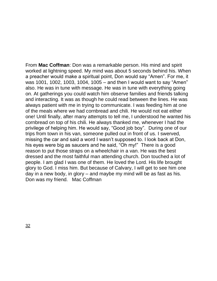From **Mac Coffman**: Don was a remarkable person. His mind and spirit worked at lightning speed. My mind was about 5 seconds behind his. When a preacher would make a spiritual point, Don would say "Amen". For me, it was 1001, 1002, 1003, 1004, 1005 – and then I would want to say "Amen" also. He was in tune with message. He was in tune with everything going on. At gatherings you could watch him observe families and friends talking and interacting. It was as though he could read between the lines. He was always patient with me in trying to communicate. I was feeding him at one of the meals where we had cornbread and chili. He would not eat either one! Until finally, after many attempts to tell me, I understood he wanted his cornbread on top of his chili. He always thanked me, whenever I had the privilege of helping him. He would say, "Good job boy". During one of our trips from town in his van, someone pulled out in front of us. I swerved, missing the car and said a word I wasn't supposed to. I look back at Don, his eyes were big as saucers and he said, "Oh my!" There is a good reason to put those straps on a wheelchair in a van. He was the best dressed and the most faithful man attending church. Don touched a lot of people. I am glad I was one of them. He loved the Lord. His life brought glory to God. I miss him. But because of Calvary, I will get to see him one day in a new body, in glory – and maybe my mind will be as fast as his. Don was my friend. Mac Coffman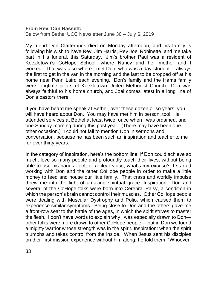#### **From Rev. Dan Bassett:**

Below from Bethel UCC Newsletter June 30 – July 6, 2019

My friend Don Clatterbuck died on Monday afternoon, and his family is following his wish to have Rev. Jim Harris, Rev Joel Robinette, and me take part in his funeral, this Saturday. Jim's brother Paul was a resident of Keezletown's CoHope School, where Nancy and her mother and I worked. That was also where I met Don, who was a day-student— always the first to get in the van in the morning and the last to be dropped off at his home near Penn Laird each evening. Don's family and the Harris family were longtime pillars of Keezletown United Methodist Church. Don was always faithful to his home church, and Joel comes latest in a long line of Don's pastors there.

If you have heard me speak at Bethel, over these dozen or so years, you will have heard about Don. You may have met him in person, too! He attended services at Bethel at least twice: once when I was ordained, and one Sunday morning during this past year. (There may have been one other occasion.) I could not fail to mention Don in sermons and conversation, because he has been such an inspiration and teacher to me for over thirty years.

In the category of Inspiration, here's the bottom line: If Don could achieve so much, love so many people and profoundly touch their lives, without being able to use his hands, feet, or a clear voice, what's my excuse? I started working with Don and the other CoHope people in order to make a little money to feed and house our little family. That crass and worldly impulse threw me into the light of amazing spiritual grace: Inspiration. Don and several of the CoHope folks were born into Cerebral Palsy, a condition in which the person's brain cannot control their muscles. Other CoHope people were dealing with Muscular Dystrophy and Polio, which caused them to experience similar symptoms. Being close to Don and the others gave me a front-row seat to the battle of the ages, in which the spirit strives to master the flesh. I don't have words to explain why I was especially drawn to Don other folks were more drawn to other CoHope people— but in Don we found a mighty warrior whose strength was in the spirit. Inspiration: when the spirit triumphs and takes control from the inside. When Jesus sent his disciples on their first mission experience without him along, he told them, "Whoever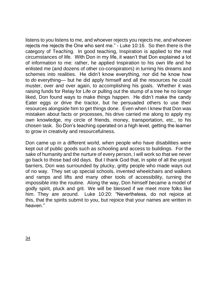listens to you listens to me, and whoever rejects you rejects me, and whoever rejects me rejects the One who sent me." - Luke 10:16. So then there is the category of Teaching. In good teaching, Inspiration is applied to the real circumstances of life. With Don in my life, it wasn't that Don explained a lot of information to me: rather, he applied Inspiration to his own life and he enlisted me (and dozens of other co-conspirators) in turning his dreams and schemes into realities. He didn't know everything, nor did he know how to *do* everything— but he did apply himself and all the resources he could muster, over and over again, to accomplishing his goals. Whether it was raising funds for Relay for Life or pulling out the stump of a tree he no longer liked, Don found ways to make things happen. He didn't make the candy Eater eggs or drive the tractor, but he persuaded others to use their resources alongside him to get things done. Even when I knew that Don was mistaken about facts or processes, his drive carried me along to apply my own knowledge, my circle of friends, money, transportation, etc., to his chosen task. So Don's teaching operated on a high level, getting the learner to grow in creativity and resourcefulness.

Don came up in a different world, when people who have disabilities were kept out of public goods such as schooling and access to buildings. For the sake of humanity and the nurture of every person, I will work so that we never go back to those bad old days. But I thank God that, in spite of all the unjust barriers, Don was surrounded by plucky, gritty people who made ways out of no way. They set up special schools, invented wheelchairs and walkers and ramps and lifts and many other tools of accessibility, turning the impossible into the routine. Along the way, Don himself became a model of godly spirit, pluck and grit. We will be blessed if we meet more folks like him. They are around. Luke 10:20: "Nevertheless, do not rejoice at this, that the spirits submit to you, but rejoice that your names are written in heaven."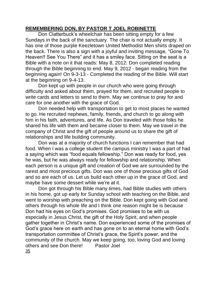## **REMEMBERING DON, BY PASTOR T JOEL ROBINETTE**

Don Clatterbuck's wheelchair has been sitting empty for a few Sundays in the back of the sanctuary. The chair is not actually empty. It has one of those purple Keezletown United Methodist Men shirts draped on the back. There is also a sign with a joyful and inviting message, "Gone To Heaven!! See You There" and it has a smiley face. Sitting on the seat is a Bible with a note on it that reads: May 8, 2012: Don completed reading through the Bible beginning to end. May 9, 2012 - began reading from the beginning again! On 9-3-13 - Completed the reading of the Bible. Will start at the beginning on 9-4-13.

Don kept up with people in our church who were going through difficulty and asked about them, prayed for them, and recruited people to write cards and letters to send to them. May we continue to pray for and care for one another with the grace of God.

Don needed help with transportation to get to most places he wanted to go. He recruited nephews, family, friends, and church to go along with him in his faith, adventures, and life. As Don traveled with those folks he shared his life with them and became closer to them. May we travel in the company of Christ and the gift of people around us to share the gift of relationships and life building community.

Don was at a majority of church functions I can remember that had food. When I was a college student the campus ministry I was a part of had a saying which was "food equals fellowship." Don was ready for food, yes he was, but he was always ready for fellowship and relationship. When each person is a unique gift and creation of God we are surrounded by the rarest and most precious gifts. Don was one of those precious gifts of God and so are each of us. Let us build each other up in the grace of God, and maybe have some dessert while we're at it.

Don got through his Bible many times, had Bible studies with others in his home, got up early for Sunday school with teaching on the Bible, and went to worship with preaching on the Bible. Don kept going with God and others through his whole life and I think one reason might be is because Don had his eyes on God's promises. God promises to be with us especially in Jesus Christ, the gift of the Holy Spirit, and when people gather together in Christ's name. Don experienced some of the promises of God's grace here on earth and has gone on to an eternal home with God's transportation committee of Christ's grace, the Spirit's power, and the community of the church. May we keep going, too, loving God and loving others and see Don there! Pastor Joel 35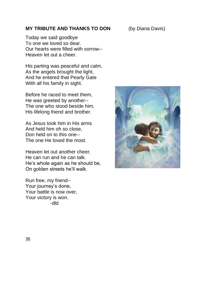#### **MY TRIBUTE AND THANKS TO DON** (by Diana Davis)

Today we said goodbye To one we loved so dear. Our hearts were filled with sorrow-- Heaven let out a cheer.

His parting was peaceful and calm, As the angels brought the light, And he entered that Pearly Gate With all his family in sight.

Before he raced to meet them, He was greeted by another-- The one who stood beside him, His lifelong friend and brother.

As Jesus took him in His arms And held him oh so close, Don held on to this one-- The one He loved the most.

Heaven let out another cheer. He can run and he can talk. He's whole again as he should be, On golden streets he'll walk.

Run free, my friend-- Your journey's done, Your battle is now over, Your victory is won. -dld

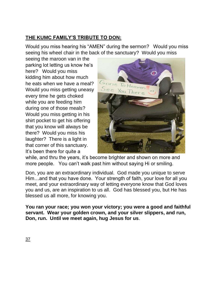## **THE KUMC FAMILY'S TRIBUTE TO DON:**

Would you miss hearing his "AMEN" during the sermon? Would you miss seeing his wheel chair in the back of the sanctuary? Would you miss

seeing the maroon van in the parking lot letting us know he's here? Would you miss kidding him about how much he eats when we have a meal? Would you miss getting uneasy every time he gets choked while you are feeding him during one of those meals? Would you miss getting in his shirt pocket to get his offering that you know will always be there? Would you miss his laughter? There is a light in that corner of this sanctuary. It's been there for quite a



while, and thru the years, it's become brighter and shown on more and more people. You can't walk past him without saying Hi or smiling.

Don, you are an extraordinary individual. God made you unique to serve Him…and that you have done. Your strength of faith, your love for all you meet, and your extraordinary way of letting everyone know that God loves you and us, are an inspiration to us all. God has blessed you, but He has blessed us all more, for knowing you.

**You ran your race; you won your victory; you were a good and faithful servant. Wear your golden crown, and your silver slippers, and run, Don, run. Until we meet again, hug Jesus for us**.